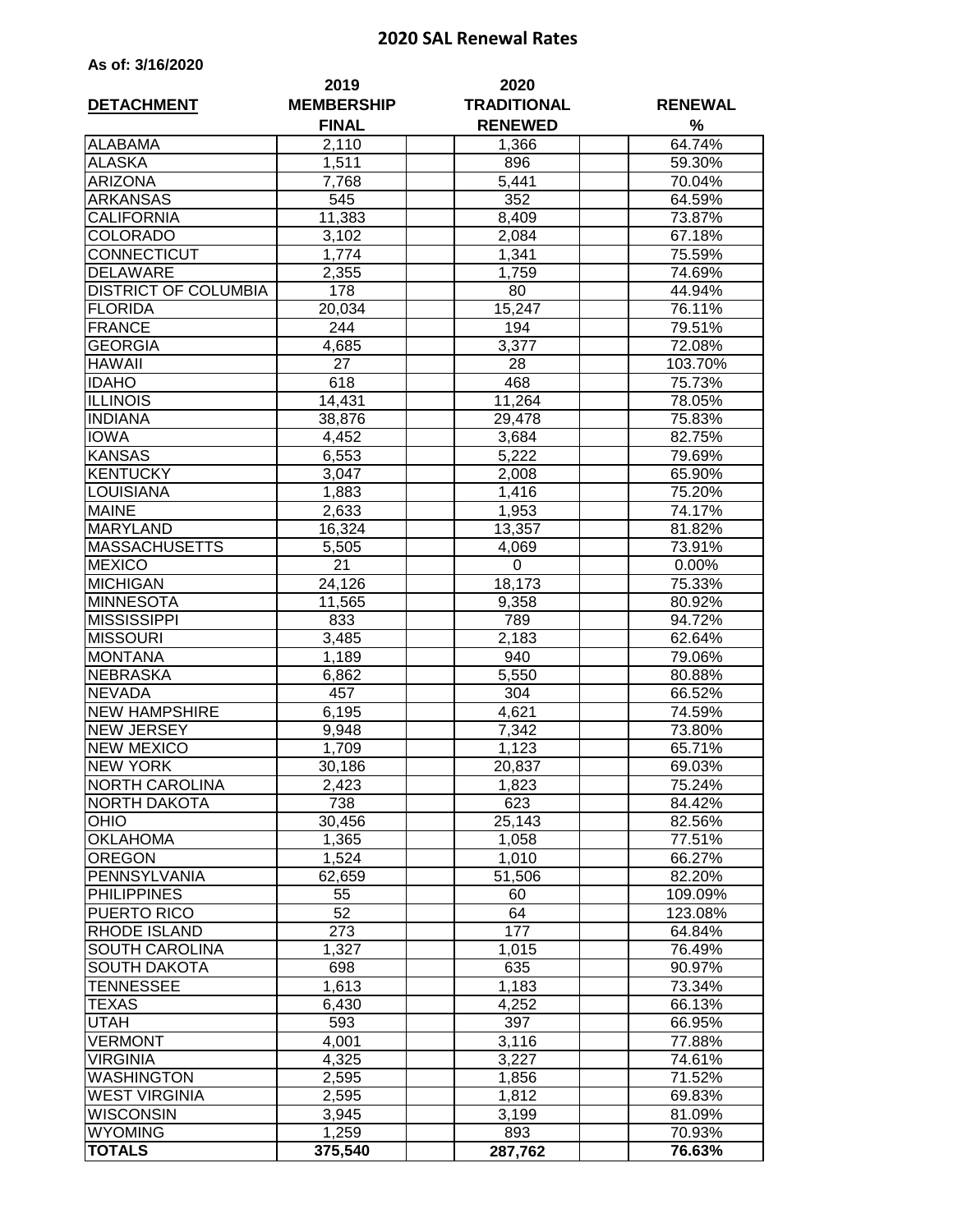## **2020 SAL Renewal Rates**

| As of: 3/16/2020 |  |  |  |
|------------------|--|--|--|
|------------------|--|--|--|

| <b>DETACHMENT</b>                            | 2019<br><b>MEMBERSHIP</b> | 2020<br><b>TRADITIONAL</b> | <b>RENEWAL</b>   |  |
|----------------------------------------------|---------------------------|----------------------------|------------------|--|
|                                              | <b>FINAL</b>              | <b>RENEWED</b>             | %                |  |
| <b>ALABAMA</b>                               | 2,110                     | 1,366                      | 64.74%           |  |
| <b>ALASKA</b>                                | 1,511                     | 896                        | 59.30%           |  |
| <b>ARIZONA</b>                               | 7,768                     | 5,441                      | 70.04%           |  |
| <b>ARKANSAS</b>                              | 545                       | 352                        | 64.59%           |  |
| <b>CALIFORNIA</b>                            | 11,383                    | 8,409                      | 73.87%           |  |
| <b>COLORADO</b>                              | 3,102                     | 2,084                      | 67.18%           |  |
| CONNECTICUT                                  | 1,774                     | 1,341                      | 75.59%           |  |
| <b>DELAWARE</b>                              | 2,355                     | 1,759                      | 74.69%           |  |
| <b>DISTRICT OF COLUMBIA</b>                  | 178                       | 80                         | 44.94%           |  |
| <b>FLORIDA</b>                               | 20,034                    | 15,247                     | 76.11%           |  |
| <b>FRANCE</b>                                | 244                       | 194                        | 79.51%           |  |
| <b>GEORGIA</b>                               | 4,685                     | 3,377                      | 72.08%           |  |
| <b>HAWAII</b>                                | 27                        | 28                         | 103.70%          |  |
| <b>IDAHO</b>                                 | 618                       | 468                        | 75.73%           |  |
| <b>ILLINOIS</b>                              | 14,431                    | 11,264                     | 78.05%           |  |
| <b>INDIANA</b>                               | 38,876                    | 29,478                     | 75.83%           |  |
| <b>IOWA</b>                                  | 4,452                     | 3,684                      | 82.75%           |  |
| <b>KANSAS</b>                                | 6,553                     | 5,222                      | 79.69%           |  |
| <b>KENTUCKY</b>                              | 3,047                     | 2,008                      | 65.90%           |  |
| <b>LOUISIANA</b>                             | 1,883                     | 1,416                      | 75.20%           |  |
| <b>MAINE</b>                                 | 2,633                     | 1,953                      | 74.17%           |  |
| <b>MARYLAND</b>                              | 16,324                    | 13,357                     | 81.82%           |  |
| <b>MASSACHUSETTS</b>                         | 5,505                     | 4,069                      | 73.91%           |  |
| <b>MEXICO</b>                                | 21                        | 0                          | 0.00%            |  |
| <b>MICHIGAN</b>                              | 24,126                    | 18,173                     | 75.33%           |  |
| <b>MINNESOTA</b>                             | 11,565                    | 9,358                      | 80.92%           |  |
| <b>MISSISSIPPI</b>                           | 833                       | 789                        | 94.72%           |  |
| <b>MISSOURI</b>                              | 3,485                     | 2,183                      | 62.64%           |  |
| <b>MONTANA</b>                               | 1,189                     | 940                        | 79.06%           |  |
| <b>NEBRASKA</b>                              | 6,862                     | 5,550                      | 80.88%           |  |
| <b>NEVADA</b>                                | 457                       | 304                        | 66.52%           |  |
| <b>NEW HAMPSHIRE</b>                         | 6,195                     | 4,621                      | 74.59%           |  |
| <b>NEW JERSEY</b>                            |                           | 7,342                      |                  |  |
| <b>NEW MEXICO</b>                            | 9,948<br>1,709            | 1,123                      | 73.80%<br>65.71% |  |
| <b>NEW YORK</b>                              |                           |                            |                  |  |
|                                              | 30,186                    | 20,837                     | 69.03%           |  |
| <b>NORTH CAROLINA</b><br><b>NORTH DAKOTA</b> | 2,423                     | 1,823<br>623               | 75.24%           |  |
| <b>OHIO</b>                                  | 738                       |                            | 84.42%           |  |
|                                              | 30,456                    | 25,143                     | 82.56%           |  |
| <b>OKLAHOMA</b><br><b>OREGON</b>             | 1,365                     | 1,058                      | 77.51%<br>66.27% |  |
|                                              | 1,524                     | 1,010                      |                  |  |
| PENNSYLVANIA                                 | 62,659                    | 51,506                     | 82.20%           |  |
| <b>PHILIPPINES</b>                           | 55                        | 60                         | 109.09%          |  |
| PUERTO RICO                                  | 52                        | 64                         | 123.08%          |  |
| <b>RHODE ISLAND</b>                          | 273                       | 177                        | 64.84%           |  |
| SOUTH CAROLINA                               | 1,327                     | 1,015                      | 76.49%           |  |
| <b>SOUTH DAKOTA</b>                          | 698                       | 635                        | 90.97%           |  |
| TENNESSEE                                    | 1,613                     | 1,183                      | 73.34%           |  |
| TEXAS                                        | 6,430                     | 4,252                      | 66.13%           |  |
| UTAH                                         | 593                       | 397                        | 66.95%           |  |
| <b>VERMONT</b>                               | 4,001                     | 3,116                      | 77.88%           |  |
| <b>VIRGINIA</b>                              | 4,325                     | 3,227                      | 74.61%           |  |
| <b>WASHINGTON</b>                            | 2,595                     | 1,856                      | 71.52%           |  |
| <b>WEST VIRGINIA</b>                         | 2,595                     | 1,812                      | 69.83%           |  |
| <b>WISCONSIN</b>                             | 3,945                     | 3,199                      | 81.09%           |  |
| <b>WYOMING</b>                               | 1,259                     | 893                        | 70.93%           |  |
| <b>TOTALS</b>                                | 375,540                   | 287,762                    | 76.63%           |  |